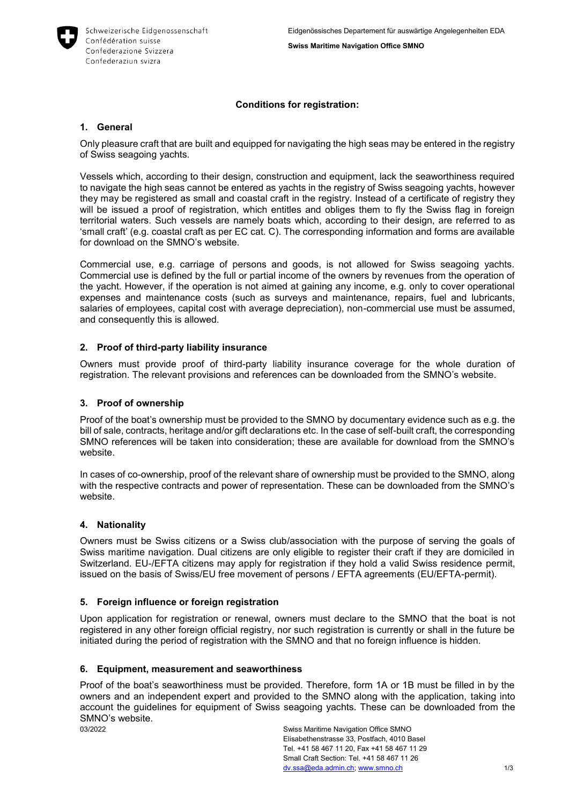

### **Conditions for registration:**

#### **1. General**

Only pleasure craft that are built and equipped for navigating the high seas may be entered in the registry of Swiss seagoing yachts.

Vessels which, according to their design, construction and equipment, lack the seaworthiness required to navigate the high seas cannot be entered as yachts in the registry of Swiss seagoing yachts, however they may be registered as small and coastal craft in the registry. Instead of a certificate of registry they will be issued a proof of registration, which entitles and obliges them to fly the Swiss flag in foreign territorial waters. Such vessels are namely boats which, according to their design, are referred to as 'small craft' (e.g. coastal craft as per EC cat. C). The corresponding information and forms are available for download on the SMNO's website.

Commercial use, e.g. carriage of persons and goods, is not allowed for Swiss seagoing yachts. Commercial use is defined by the full or partial income of the owners by revenues from the operation of the yacht. However, if the operation is not aimed at gaining any income, e.g. only to cover operational expenses and maintenance costs (such as surveys and maintenance, repairs, fuel and lubricants, salaries of employees, capital cost with average depreciation), non-commercial use must be assumed, and consequently this is allowed.

### **2. Proof of third-party liability insurance**

Owners must provide proof of third-party liability insurance coverage for the whole duration of registration. The relevant provisions and references can be downloaded from the SMNO's website.

#### **3. Proof of ownership**

Proof of the boat's ownership must be provided to the SMNO by documentary evidence such as e.g. the bill of sale, contracts, heritage and/or gift declarations etc. In the case of self-built craft, the corresponding SMNO references will be taken into consideration; these are available for download from the SMNO's website.

In cases of co-ownership, proof of the relevant share of ownership must be provided to the SMNO, along with the respective contracts and power of representation. These can be downloaded from the SMNO's website.

### **4. Nationality**

Owners must be Swiss citizens or a Swiss club/association with the purpose of serving the goals of Swiss maritime navigation. Dual citizens are only eligible to register their craft if they are domiciled in Switzerland. EU-/EFTA citizens may apply for registration if they hold a valid Swiss residence permit, issued on the basis of Swiss/EU free movement of persons / EFTA agreements (EU/EFTA-permit).

#### **5. Foreign influence or foreign registration**

Upon application for registration or renewal, owners must declare to the SMNO that the boat is not registered in any other foreign official registry, nor such registration is currently or shall in the future be initiated during the period of registration with the SMNO and that no foreign influence is hidden.

#### **6. Equipment, measurement and seaworthiness**

Proof of the boat's seaworthiness must be provided. Therefore, form 1A or 1B must be filled in by the owners and an independent expert and provided to the SMNO along with the application, taking into account the guidelines for equipment of Swiss seagoing yachts. These can be downloaded from the SMNO's website.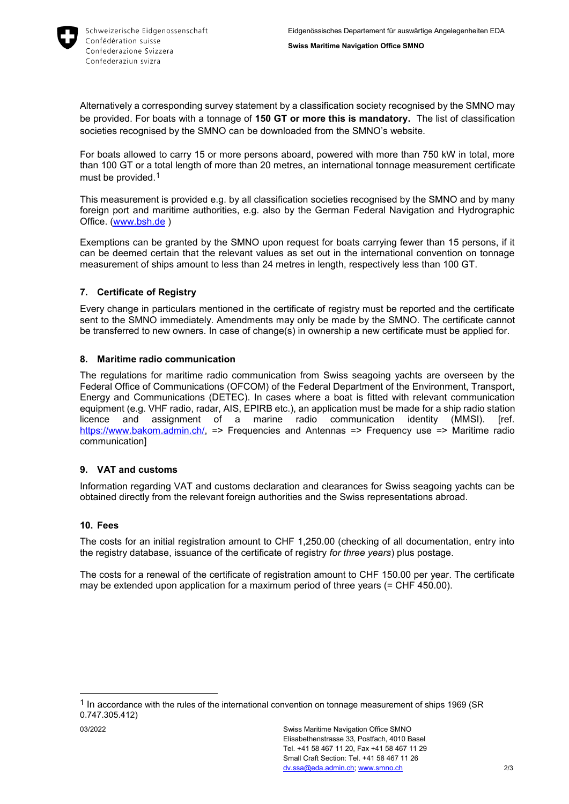

Alternatively a corresponding survey statement by a classification society recognised by the SMNO may be provided. For boats with a tonnage of **150 GT or more this is mandatory.** The list of classification societies recognised by the SMNO can be downloaded from the SMNO's website.

For boats allowed to carry 15 or more persons aboard, powered with more than 750 kW in total, more than 100 GT or a total length of more than 20 metres, an international tonnage measurement certificate must be provided.<sup>1</sup>

This measurement is provided e.g. by all classification societies recognised by the SMNO and by many foreign port and maritime authorities, e.g. also by the German Federal Navigation and Hydrographic Office. [\(www.bsh.de](http://www.bsh.de/) )

Exemptions can be granted by the SMNO upon request for boats carrying fewer than 15 persons, if it can be deemed certain that the relevant values as set out in the international convention on tonnage measurement of ships amount to less than 24 metres in length, respectively less than 100 GT.

# **7. Certificate of Registry**

Every change in particulars mentioned in the certificate of registry must be reported and the certificate sent to the SMNO immediately. Amendments may only be made by the SMNO. The certificate cannot be transferred to new owners. In case of change(s) in ownership a new certificate must be applied for.

### **8. Maritime radio communication**

The regulations for maritime radio communication from Swiss seagoing yachts are overseen by the Federal Office of Communications (OFCOM) of the Federal Department of the Environment, Transport, Energy and Communications (DETEC). In cases where a boat is fitted with relevant communication equipment (e.g. VHF radio, radar, AIS, EPIRB etc.), an application must be made for a ship radio station licence and assignment of a marine radio communication identity (MMSI). [ref. [https://www.bakom.admin.ch/,](https://www.bakom.admin.ch/) => Frequencies and Antennas => Frequency use => Maritime radio communication]

### **9. VAT and customs**

Information regarding VAT and customs declaration and clearances for Swiss seagoing yachts can be obtained directly from the relevant foreign authorities and the Swiss representations abroad.

### **10. Fees**

The costs for an initial registration amount to CHF 1,250.00 (checking of all documentation, entry into the registry database, issuance of the certificate of registry *for three years*) plus postage.

The costs for a renewal of the certificate of registration amount to CHF 150.00 per year. The certificate may be extended upon application for a maximum period of three years (= CHF 450.00).

-

<sup>&</sup>lt;sup>1</sup> In accordance with the rules of the international convention on tonnage measurement of ships 1969 (SR 0.747.305.412)